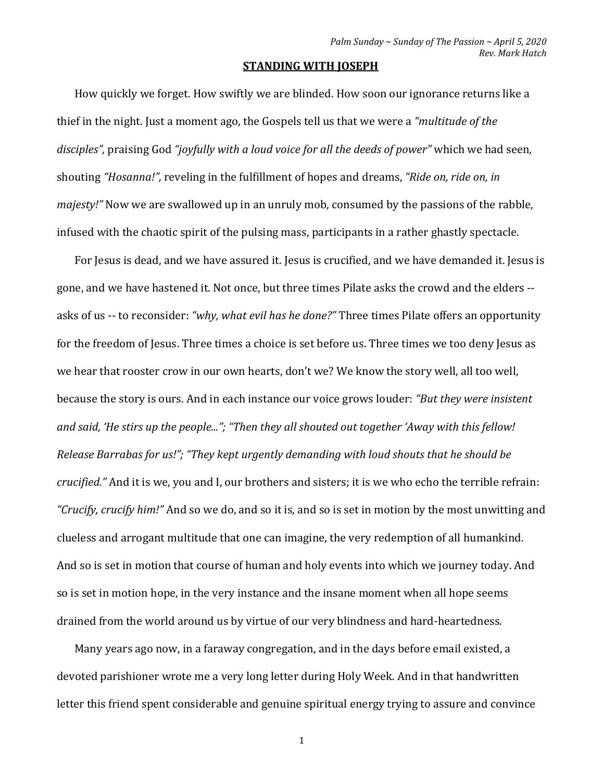## **STANDING WITH JOSEPH**

How quickly we forget. How swiftly we are blinded. How soon our ignorance returns like a thief in the night. Just a moment ago, the Gospels tell us that we were a *"multitude of the disciples",* praising God *"joyfully with a loud voice for all the deeds of power"* which we had seen*,* shouting *"Hosanna!",* reveling in the fulfillment of hopes and dreams, *"Ride on, ride on, in majesty!"* Now we are swallowed up in an unruly mob, consumed by the passions of the rabble, infused with the chaotic spirit of the pulsing mass, participants in a rather ghastly spectacle.

For Jesus is dead, and we have assured it. Jesus is crucified, and we have demanded it. Jesus is gone, and we have hastened it. Not once, but three times Pilate asks the crowd and the elders - asks of us -- to reconsider: *"why, what evil has he done?"* Three times Pilate offers an opportunity for the freedom of Jesus. Three times a choice is set before us. Three times we too deny Jesus as we hear that rooster crow in our own hearts, don't we? We know the story well, all too well, because the story is ours. And in each instance our voice grows louder: *"But they were insistent and said, 'He stirs up the people..."; "Then they all shouted out together 'Away with this fellow! Release Barrabas for us!"; "They kept urgently demanding with loud shouts that he should be crucified."* And it is we, you and I, our brothers and sisters; it is we who echo the terrible refrain: *"Crucify, crucify him!"* And so we do, and so it is, and so is set in motion by the most unwitting and clueless and arrogant multitude that one can imagine, the very redemption of all humankind. And so is set in motion that course of human and holy events into which we journey today. And so is set in motion hope, in the very instance and the insane moment when all hope seems drained from the world around us by virtue of our very blindness and hard-heartedness.

Many years ago now, in a faraway congregation, and in the days before email existed, a devoted parishioner wrote me a very long letter during Holy Week. And in that handwritten letter this friend spent considerable and genuine spiritual energy trying to assure and convince

1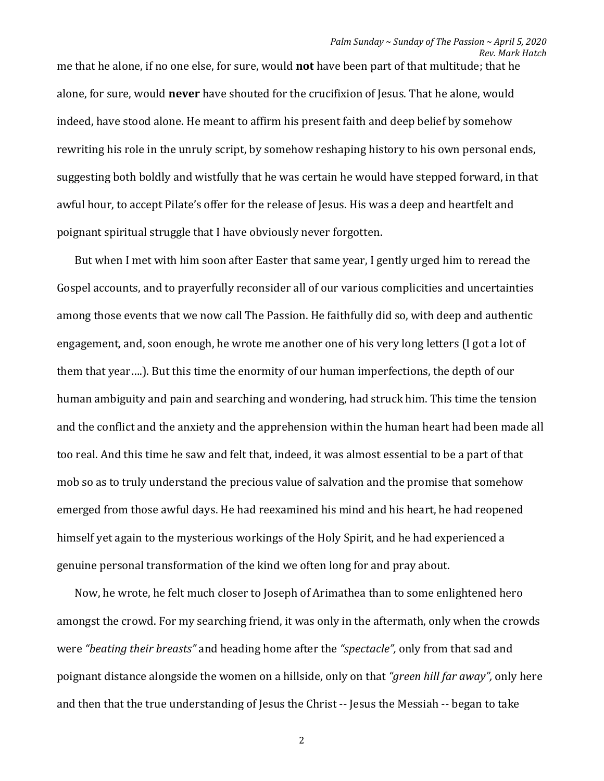me that he alone, if no one else, for sure, would **not** have been part of that multitude; that he alone, for sure, would **never** have shouted for the crucifixion of Jesus. That he alone, would indeed, have stood alone. He meant to affirm his present faith and deep belief by somehow rewriting his role in the unruly script, by somehow reshaping history to his own personal ends, suggesting both boldly and wistfully that he was certain he would have stepped forward, in that awful hour, to accept Pilate's offer for the release of Jesus. His was a deep and heartfelt and poignant spiritual struggle that I have obviously never forgotten.

But when I met with him soon after Easter that same year, I gently urged him to reread the Gospel accounts, and to prayerfully reconsider all of our various complicities and uncertainties among those events that we now call The Passion. He faithfully did so, with deep and authentic engagement, and, soon enough, he wrote me another one of his very long letters (I got a lot of them that year….). But this time the enormity of our human imperfections, the depth of our human ambiguity and pain and searching and wondering, had struck him. This time the tension and the conflict and the anxiety and the apprehension within the human heart had been made all too real. And this time he saw and felt that, indeed, it was almost essential to be a part of that mob so as to truly understand the precious value of salvation and the promise that somehow emerged from those awful days. He had reexamined his mind and his heart, he had reopened himself yet again to the mysterious workings of the Holy Spirit, and he had experienced a genuine personal transformation of the kind we often long for and pray about.

Now, he wrote, he felt much closer to Joseph of Arimathea than to some enlightened hero amongst the crowd. For my searching friend, it was only in the aftermath, only when the crowds were *"beating their breasts"* and heading home after the *"spectacle",* only from that sad and poignant distance alongside the women on a hillside, only on that *"green hill far away",* only here and then that the true understanding of Jesus the Christ -- Jesus the Messiah -- began to take

2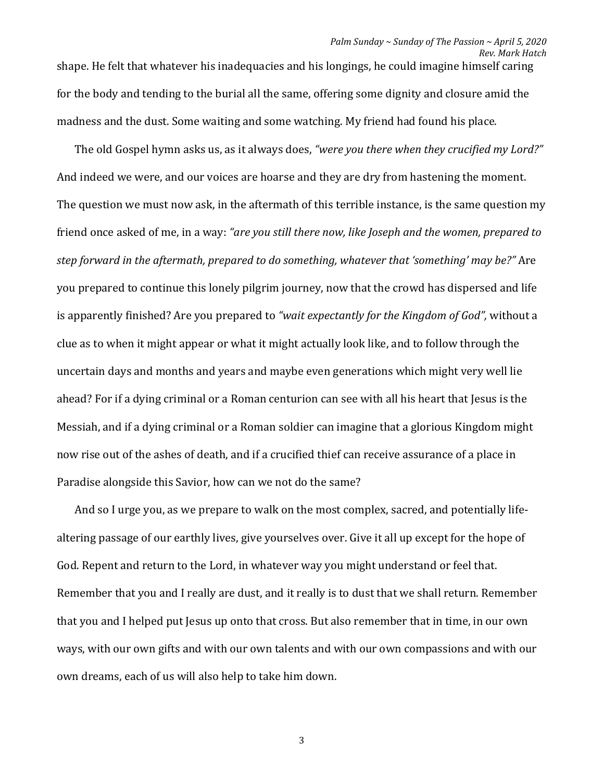shape. He felt that whatever his inadequacies and his longings, he could imagine himself caring for the body and tending to the burial all the same, offering some dignity and closure amid the madness and the dust. Some waiting and some watching. My friend had found his place.

The old Gospel hymn asks us, as it always does, *"were you there when they crucified my Lord?"* And indeed we were, and our voices are hoarse and they are dry from hastening the moment. The question we must now ask, in the aftermath of this terrible instance, is the same question my friend once asked of me, in a way: *"are you still there now, like Joseph and the women, prepared to step forward in the aftermath, prepared to do something, whatever that 'something' may be?"* Are you prepared to continue this lonely pilgrim journey, now that the crowd has dispersed and life is apparently finished? Are you prepared to *"wait expectantly for the Kingdom of God",* without a clue as to when it might appear or what it might actually look like, and to follow through the uncertain days and months and years and maybe even generations which might very well lie ahead? For if a dying criminal or a Roman centurion can see with all his heart that Jesus is the Messiah, and if a dying criminal or a Roman soldier can imagine that a glorious Kingdom might now rise out of the ashes of death, and if a crucified thief can receive assurance of a place in Paradise alongside this Savior, how can we not do the same?

And so I urge you, as we prepare to walk on the most complex, sacred, and potentially lifealtering passage of our earthly lives, give yourselves over. Give it all up except for the hope of God. Repent and return to the Lord, in whatever way you might understand or feel that. Remember that you and I really are dust, and it really is to dust that we shall return. Remember that you and I helped put Jesus up onto that cross. But also remember that in time, in our own ways, with our own gifts and with our own talents and with our own compassions and with our own dreams, each of us will also help to take him down.

3